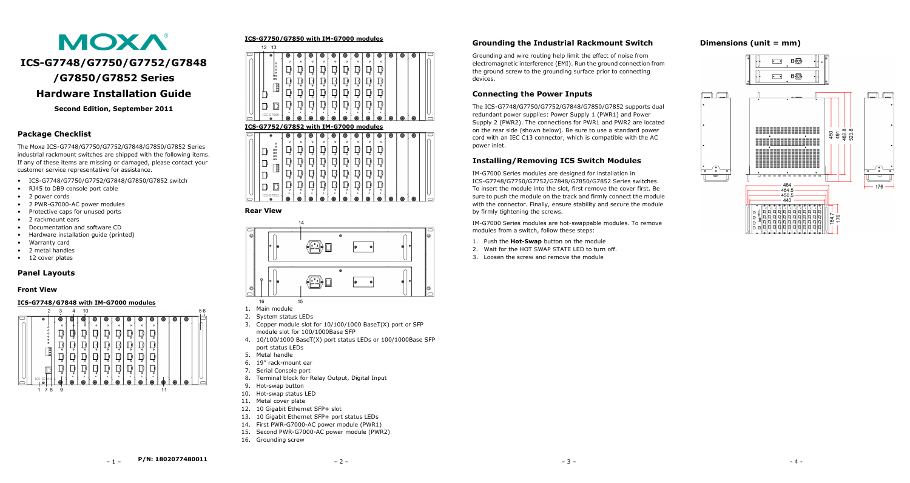

**Second Edition, September 2011**

### **Package Checklist**

The Moxa ICS-G7748/G7750/G7752/G7848/G7850/G7852 Series industrial rackmount switches are shipped with the following items. If any of these items are missing or damaged, please contact your customer service representative for assistance.

- ICS-G7748/G7750/G7752/G7848/G7850/G7852 switch
- RJ45 to DB9 console port cable
- 2 power cords
- 2 PWR-G7000-AC power modules
- Protective caps for unused ports
- 2 rackmount ears
- Documentation and software CD
- Hardware installation guide (printed)
- Warranty card
- 2 metal handles
- 12 cover plates

#### **Panel Layouts**

#### **Front View**

#### **ICS-G7748/G7848 with IM-G7000 modules**



#### **ICS-G7750/G7850 with IM-G7000 modules**  $12 \quad 13$ ெ a la la la la la la  $880000$  $D/D$ 하하하하하하하  $\mathbf{D}$  $\left| \vec{D} \right| \left| \vec{D} \right| \left| \vec{D} \right| \left| \vec{D} \right| \left| \vec{D} \right| \left| \vec{D} \right|$  $\mathbf{D}$  $\Box$  $\mathbf{D}$  $\mathbf{D}$  $D|D|D|D|D|D|D$  $\mathsf{D}$ ID D  $-6785$

### **ICS-G7752/G7852 with IM-G7000 modules**

|  | œ                         | ю                       | O                  | O                       | O                    | O                       | O                       | O                        | O       | O            | O | o | o |  |
|--|---------------------------|-------------------------|--------------------|-------------------------|----------------------|-------------------------|-------------------------|--------------------------|---------|--------------|---|---|---|--|
|  | $\circ$                   | $\circ$                 | $\circ$            | $\circ$                 | $\circ$              | $\circ$                 | $\circ$                 | $\circ$                  | $\circ$ | $\circ$      |   |   |   |  |
|  | $\circ$<br>oo<br>oo<br>oo | $\circ$                 | $\circ$            | $\circ$                 | $\circ$              | $\circ$                 | $\circ$                 | $\circ$                  | $\circ$ | $\circ$      |   |   |   |  |
|  | oo<br>papa                | $\Omega$                | $\overline{\circ}$ | $\overline{\mathbf{a}}$ | $\overline{\bullet}$ | $\overline{\mathbf{a}}$ | $\overline{\mathbf{o}}$ | $\overline{\phantom{a}}$ | $\circ$ | $\circ$      |   |   |   |  |
|  |                           | $\circ$                 | $\circ$            | $\circ$                 | $\circ$              | $\circ$                 | $\circ$                 | $\circ$                  | $\circ$ | $\Omega$     |   |   |   |  |
|  | ∟                         | $\overline{\mathbf{c}}$ | $\circ$            | $\overline{a}$          | 궁                    | $\overline{O}$          | $\circ$                 | ⇁<br>$\sim$              | $\circ$ | $\circ$      |   |   |   |  |
|  | ICS-G7852<br>œ            | $\bullet$<br>o          | $\circ$<br>◎       | $\bullet$<br>o          | $\bullet$<br>o       | $\bullet$<br>Ô          | $\circ$<br>o            | ۰<br>o                   | ۰<br>O  | $\circ$<br>o | o | ◉ | 0 |  |

#### **Rear View**



- 1. Main module
- 2. System status LEDs
- 3. Copper module slot for 10/100/1000 BaseT(X) port or SFP module slot for 100/1000Base SFP
- 4. 10/100/1000 BaseT(X) port status LEDs or 100/1000Base SFP port status LEDs
- 5. Metal handle
- 6. 19" rack-mount ear
- 
- 8. Terminal block for Relay Output, Digital Input
- 9. Hot-swap button
- 10. Hot-swap status LED
- 
- 12. 10 Gigabit Ethernet SFP+ slot
- 
- 14. First PWR-G7000-AC power module (PWR1)
- 15. Second PWR-G7000-AC power module (PWR2)
- 16. Grounding screw

# **Grounding the Industrial Rackmount Switch**

Grounding and wire routing help limit the effect of noise from electromagnetic interference (EMI). Run the ground connection from the ground screw to the grounding surface prior to connecting devices.

# **Connecting the Power Inputs**

The ICS-G7748/G7750/G7752/G7848/G7850/G7852 supports dual redundant power supplies: Power Supply 1 (PWR1) and Power Supply 2 (PWR2). The connections for PWR1 and PWR2 are located on the rear side (shown below). Be sure to use a standard power cord with an IEC C13 connector, which is compatible with the AC power inlet.

# **Installing/Removing ICS Switch Modules**

IM-G7000 Series modules are designed for installation in ICS-G7748/G7750/G7752/G7848/G7850/G7852 Series switches. To insert the module into the slot, first remove the cover first. Be sure to push the module on the track and firmly connect the module with the connector. Finally, ensure stability and secure the module by firmly tightening the screws.

IM-G7000 Series modules are hot-swappable modules. To remove modules from a switch, follow these steps:

- 1. Push the **Hot-Swap** button on the module
- 2. Wait for the HOT SWAP STATE LED to turn off.
- 3. Loosen the screw and remove the module

# **Dimensions (unit = mm)**



7. Serial Console port

- 
- 
- 11. Metal cover plate
- 
- 13. 10 Gigabit Ethernet SFP+ port status LEDs